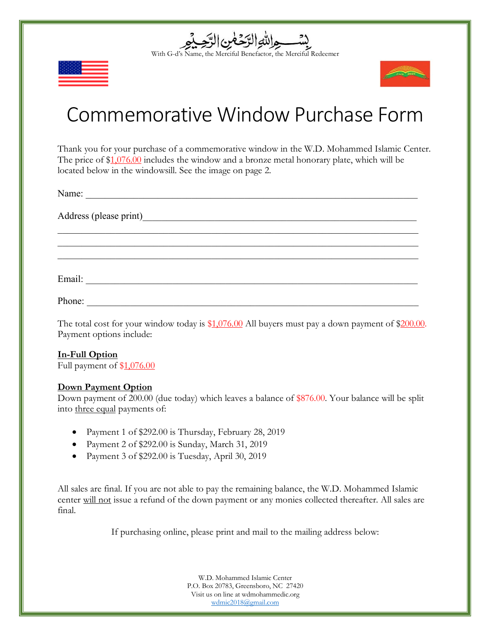





## Commemorative Window Purchase Form

Thank you for your purchase of a commemorative window in the W.D. Mohammed Islamic Center. The price of \$1,076.00 includes the window and a bronze metal honorary plate, which will be located below in the windowsill. See the image on page 2.

 $\_$  , and the contribution of the contribution of  $\mathcal{L}_\mathcal{A}$  , and the contribution of  $\mathcal{L}_\mathcal{A}$  $\_$  , and the contribution of the contribution of  $\mathcal{L}_\mathcal{A}$  , and the contribution of  $\mathcal{L}_\mathcal{A}$  $\mathcal{L}_\mathcal{L} = \{ \mathcal{L}_\mathcal{L} = \{ \mathcal{L}_\mathcal{L} = \{ \mathcal{L}_\mathcal{L} = \{ \mathcal{L}_\mathcal{L} = \{ \mathcal{L}_\mathcal{L} = \{ \mathcal{L}_\mathcal{L} = \{ \mathcal{L}_\mathcal{L} = \{ \mathcal{L}_\mathcal{L} = \{ \mathcal{L}_\mathcal{L} = \{ \mathcal{L}_\mathcal{L} = \{ \mathcal{L}_\mathcal{L} = \{ \mathcal{L}_\mathcal{L} = \{ \mathcal{L}_\mathcal{L} = \{ \mathcal{L}_\mathcal{$ 

Name: \_\_\_\_\_\_\_\_\_\_\_\_\_\_\_\_\_\_\_\_\_\_\_\_\_\_\_\_\_\_\_\_\_\_\_\_\_\_\_\_\_\_\_\_\_\_\_\_\_\_\_\_\_\_\_\_\_\_\_\_\_\_\_\_\_\_\_\_\_

Address (please print)

Email: \_\_\_\_\_\_\_\_\_\_\_\_\_\_\_\_\_\_\_\_\_\_\_\_\_\_\_\_\_\_\_\_\_\_\_\_\_\_\_\_\_\_\_\_\_\_\_\_\_\_\_\_\_\_\_\_\_\_\_\_\_\_\_\_\_\_\_\_\_

Phone:

The total cost for your window today is \$1,076.00 All buyers must pay a down payment of \$200.00. Payment options include:

## **In-Full Option**

Full payment of \$1,076.00

## **Down Payment Option**

Down payment of 200.00 (due today) which leaves a balance of \$876.00. Your balance will be split into three equal payments of:

- Payment 1 of \$292.00 is Thursday, February 28, 2019
- Payment 2 of \$292.00 is Sunday, March 31, 2019
- Payment 3 of \$292.00 is Tuesday, April 30, 2019

All sales are final. If you are not able to pay the remaining balance, the W.D. Mohammed Islamic center will not issue a refund of the down payment or any monies collected thereafter. All sales are final.

If purchasing online, please print and mail to the mailing address below:

W.D. Mohammed Islamic Center P.O. Box 20783, Greensboro, NC 27420 Visit us on line at wdmohammedic.org wdmic2018@gmail.com